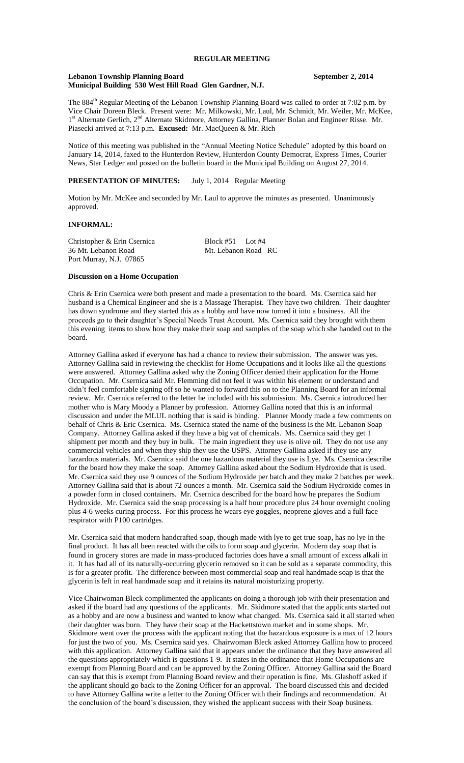# **REGULAR MEETING**

#### **Lebanon Township Planning Board September 2, 2014 Municipal Building 530 West Hill Road Glen Gardner, N.J.**

The 884<sup>th</sup> Regular Meeting of the Lebanon Township Planning Board was called to order at 7:02 p.m. by Vice Chair Doreen Bleck. Present were: Mr. Milkowski, Mr. Laul, Mr. Schmidt, Mr. Weiler, Mr. McKee, 1<sup>st</sup> Alternate Gerlich, 2<sup>nd</sup> Alternate Skidmore, Attorney Gallina, Planner Bolan and Engineer Risse. Mr. Piasecki arrived at 7:13 p.m. **Excused:** Mr. MacQueen & Mr. Rich

Notice of this meeting was published in the "Annual Meeting Notice Schedule" adopted by this board on January 14, 2014, faxed to the Hunterdon Review, Hunterdon County Democrat, Express Times, Courier News, Star Ledger and posted on the bulletin board in the Municipal Building on August 27, 2014.

## **PRESENTATION OF MINUTES:** July 1, 2014 Regular Meeting

Motion by Mr. McKee and seconded by Mr. Laul to approve the minutes as presented. Unanimously approved.

## **INFORMAL:**

Christopher & Erin Csernica<br>
36 Mt. Lebanon Road<br>
Mt. Lebanon Road<br>
Mt. Lebanon Road<br>
RC 36 Mt. Lebanon Road Port Murray, N.J. 07865

### **Discussion on a Home Occupation**

Chris & Erin Csernica were both present and made a presentation to the board. Ms. Csernica said her husband is a Chemical Engineer and she is a Massage Therapist. They have two children. Their daughter has down syndrome and they started this as a hobby and have now turned it into a business. All the proceeds go to their daughter's Special Needs Trust Account. Ms. Csernica said they brought with them this evening items to show how they make their soap and samples of the soap which she handed out to the board.

Attorney Gallina asked if everyone has had a chance to review their submission. The answer was yes. Attorney Gallina said in reviewing the checklist for Home Occupations and it looks like all the questions were answered. Attorney Gallina asked why the Zoning Officer denied their application for the Home Occupation. Mr. Csernica said Mr. Flemming did not feel it was within his element or understand and didn't feel comfortable signing off so he wanted to forward this on to the Planning Board for an informal review. Mr. Csernica referred to the letter he included with his submission. Ms. Csernica introduced her mother who is Mary Moody a Planner by profession. Attorney Gallina noted that this is an informal discussion and under the MLUL nothing that is said is binding. Planner Moody made a few comments on behalf of Chris & Eric Csernica. Ms. Csernica stated the name of the business is the Mt. Lebanon Soap Company. Attorney Gallina asked if they have a big vat of chemicals. Ms. Csernica said they get 1 shipment per month and they buy in bulk. The main ingredient they use is olive oil. They do not use any commercial vehicles and when they ship they use the USPS. Attorney Gallina asked if they use any hazardous materials. Mr. Csernica said the one hazardous material they use is Lye. Ms. Csernica describe for the board how they make the soap. Attorney Gallina asked about the Sodium Hydroxide that is used. Mr. Csernica said they use 9 ounces of the Sodium Hydroxide per batch and they make 2 batches per week. Attorney Gallina said that is about 72 ounces a month. Mr. Csernica said the Sodium Hydroxide comes in a powder form in closed containers. Mr. Csernica described for the board how he prepares the Sodium Hydroxide. Mr. Csernica said the soap processing is a half hour procedure plus 24 hour overnight cooling plus 4-6 weeks curing process. For this process he wears eye goggles, neoprene gloves and a full face respirator with P100 cartridges.

Mr. Csernica said that modern handcrafted soap, though made with lye to get true soap, has no lye in the final product. It has all been reacted with the oils to form soap and glycerin. Modern day soap that is found in grocery stores are made in mass-produced factories does have a small amount of excess alkali in it. It has had all of its naturally-occurring glycerin removed so it can be sold as a separate commodity, this is for a greater profit. The difference between most commercial soap and real handmade soap is that the glycerin is left in real handmade soap and it retains its natural moisturizing property.

Vice Chairwoman Bleck complimented the applicants on doing a thorough job with their presentation and asked if the board had any questions of the applicants. Mr. Skidmore stated that the applicants started out as a hobby and are now a business and wanted to know what changed. Ms. Csernica said it all started when their daughter was born. They have their soap at the Hackettstown market and in some shops. Mr. Skidmore went over the process with the applicant noting that the hazardous exposure is a max of 12 hours for just the two of you. Ms. Csernica said yes. Chairwoman Bleck asked Attorney Gallina how to proceed with this application. Attorney Gallina said that it appears under the ordinance that they have answered all the questions appropriately which is questions 1-9. It states in the ordinance that Home Occupations are exempt from Planning Board and can be approved by the Zoning Officer. Attorney Gallina said the Board can say that this is exempt from Planning Board review and their operation is fine. Ms. Glashoff asked if the applicant should go back to the Zoning Officer for an approval. The board discussed this and decided to have Attorney Gallina write a letter to the Zoning Officer with their findings and recommendation. At the conclusion of the board's discussion, they wished the applicant success with their Soap business.